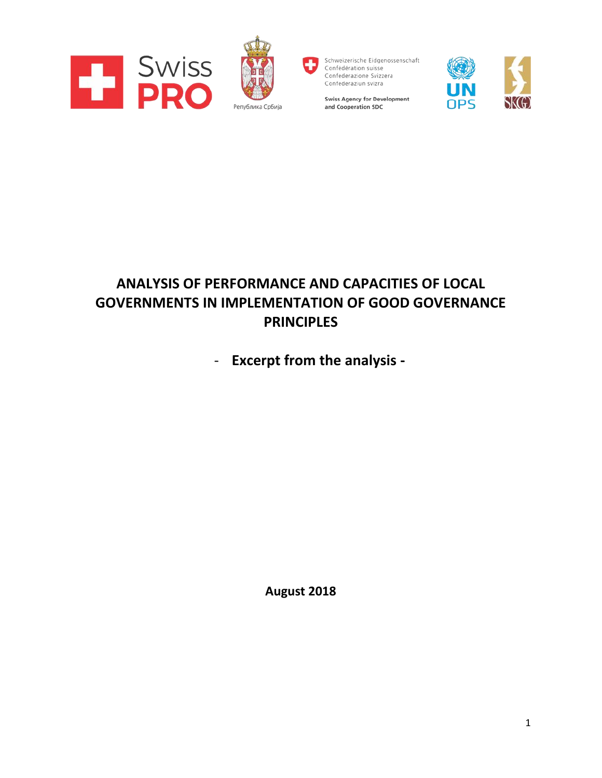





Schweizerische Eidgenossenschaft Confédération suisse Confederazione Svizzera Confederaziun svizra





# **ANALYSIS OF PERFORMANCE AND CAPACITIES OF LOCAL GOVERNMENTS IN IMPLEMENTATION OF GOOD GOVERNANCE PRINCIPLES**

- **Excerpt from the analysis -**

**August 2018**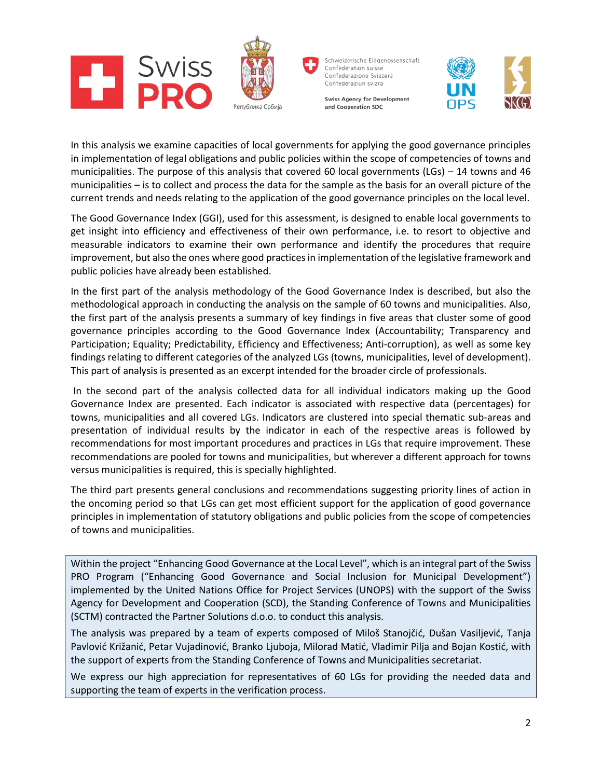







In this analysis we examine capacities of local governments for applying the good governance principles in implementation of legal obligations and public policies within the scope of competencies of towns and municipalities. The purpose of this analysis that covered 60 local governments (LGs) – 14 towns and 46 municipalities – is to collect and process the data for the sample as the basis for an overall picture of the current trends and needs relating to the application of the good governance principles on the local level.

The Good Governance Index (GGI), used for this assessment, is designed to enable local governments to get insight into efficiency and effectiveness of their own performance, i.e. to resort to objective and measurable indicators to examine their own performance and identify the procedures that require improvement, but also the ones where good practices in implementation of the legislative framework and public policies have already been established.

In the first part of the analysis methodology of the Good Governance Index is described, but also the methodological approach in conducting the analysis on the sample of 60 towns and municipalities. Also, the first part of the analysis presents a summary of key findings in five areas that cluster some of good governance principles according to the Good Governance Index (Accountability; Transparency and Participation; Equality; Predictability, Efficiency and Effectiveness; Anti-corruption), as well as some key findings relating to different categories of the analyzed LGs (towns, municipalities, level of development). This part of analysis is presented as an excerpt intended for the broader circle of professionals.

In the second part of the analysis collected data for all individual indicators making up the Good Governance Index are presented. Each indicator is associated with respective data (percentages) for towns, municipalities and all covered LGs. Indicators are clustered into special thematic sub-areas and presentation of individual results by the indicator in each of the respective areas is followed by recommendations for most important procedures and practices in LGs that require improvement. These recommendations are pooled for towns and municipalities, but wherever a different approach for towns versus municipalities is required, this is specially highlighted.

The third part presents general conclusions and recommendations suggesting priority lines of action in the oncoming period so that LGs can get most efficient support for the application of good governance principles in implementation of statutory obligations and public policies from the scope of competencies of towns and municipalities.

Within the project "Enhancing Good Governance at the Local Level", which is an integral part of the Swiss PRO Program ("Enhancing Good Governance and Social Inclusion for Municipal Development") implemented by the United Nations Office for Project Services (UNOPS) with the support of the Swiss Agency for Development and Cooperation (SCD), the Standing Conference of Towns and Municipalities (SCTM) contracted the Partner Solutions d.o.o. to conduct this analysis.

The analysis was prepared by a team of experts composed of Miloš Stanojčić, Dušan Vasiljević, Tanja Pavlović Križanić, Petar Vujadinović, Branko Ljuboja, Milorad Matić, Vladimir Pilja and Bojan Kostić, with the support of experts from the Standing Conference of Towns and Municipalities secretariat.

We express our high appreciation for representatives of 60 LGs for providing the needed data and supporting the team of experts in the verification process.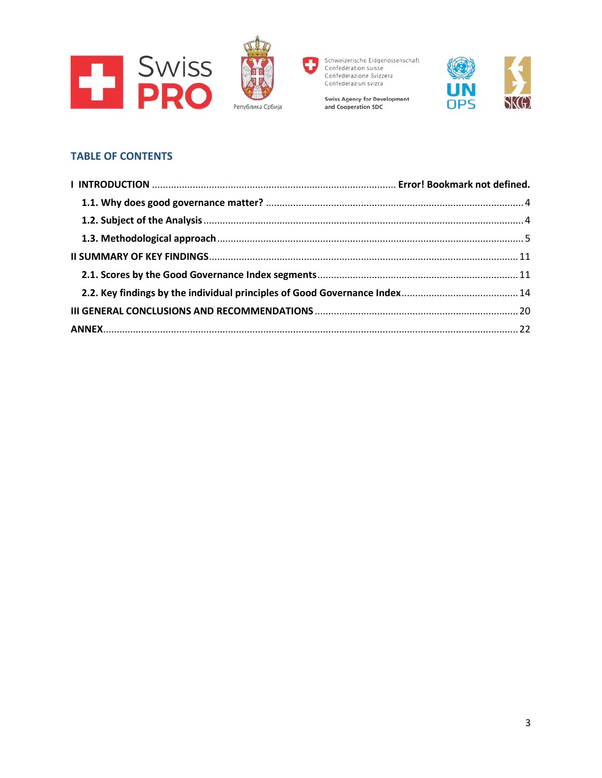







# **TABLE OF CONTENTS**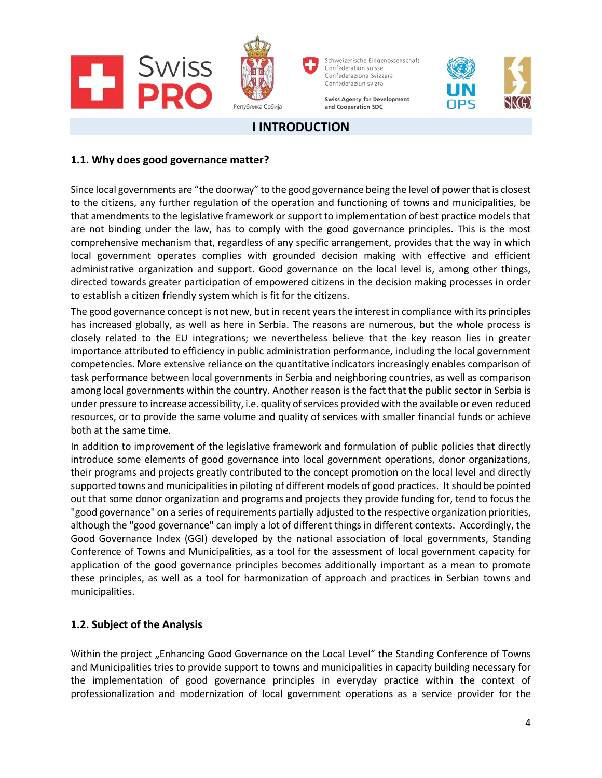







# **I INTRODUCTION**

#### <span id="page-3-0"></span>**1.1. Why does good governance matter?**

Since local governments are "the doorway" to the good governance being the level of power that is closest to the citizens, any further regulation of the operation and functioning of towns and municipalities, be that amendments to the legislative framework or support to implementation of best practice models that are not binding under the law, has to comply with the good governance principles. This is the most comprehensive mechanism that, regardless of any specific arrangement, provides that the way in which local government operates complies with grounded decision making with effective and efficient administrative organization and support. Good governance on the local level is, among other things, directed towards greater participation of empowered citizens in the decision making processes in order to establish a citizen friendly system which is fit for the citizens.

The good governance concept is not new, but in recent years the interest in compliance with its principles has increased globally, as well as here in Serbia. The reasons are numerous, but the whole process is closely related to the EU integrations; we nevertheless believe that the key reason lies in greater importance attributed to efficiency in public administration performance, including the local government competencies. More extensive reliance on the quantitative indicators increasingly enables comparison of task performance between local governments in Serbia and neighboring countries, as well as comparison among local governments within the country. Another reason is the fact that the public sector in Serbia is under pressure to increase accessibility, i.e. quality of services provided with the available or even reduced resources, or to provide the same volume and quality of services with smaller financial funds or achieve both at the same time.

In addition to improvement of the legislative framework and formulation of public policies that directly introduce some elements of good governance into local government operations, donor organizations, their programs and projects greatly contributed to the concept promotion on the local level and directly supported towns and municipalities in piloting of different models of good practices. It should be pointed out that some donor organization and programs and projects they provide funding for, tend to focus the "good governance" on a series of requirements partially adjusted to the respective organization priorities, although the "good governance" can imply a lot of different things in different contexts. Accordingly, the Good Governance Index (GGI) developed by the national association of local governments, Standing Conference of Towns and Municipalities, as a tool for the assessment of local government capacity for application of the good governance principles becomes additionally important as a mean to promote these principles, as well as a tool for harmonization of approach and practices in Serbian towns and municipalities.

# <span id="page-3-1"></span>**1.2. Subject of the Analysis**

Within the project "Enhancing Good Governance on the Local Level" the Standing Conference of Towns and Municipalities tries to provide support to towns and municipalities in capacity building necessary for the implementation of good governance principles in everyday practice within the context of professionalization and modernization of local government operations as a service provider for the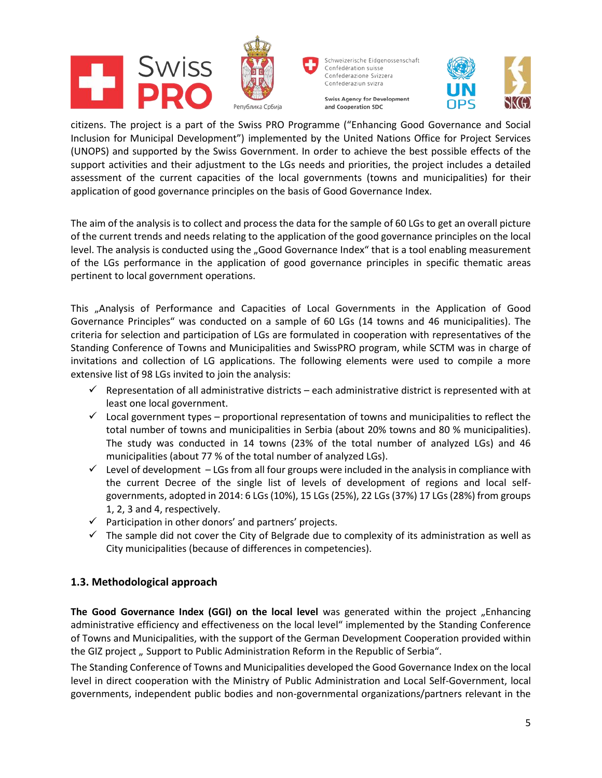







citizens. The project is a part of the Swiss PRO Programme ("Enhancing Good Governance and Social Inclusion for Municipal Development") implemented by the United Nations Office for Project Services (UNOPS) and supported by the Swiss Government. In order to achieve the best possible effects of the support activities and their adjustment to the LGs needs and priorities, the project includes a detailed assessment of the current capacities of the local governments (towns and municipalities) for their application of good governance principles on the basis of Good Governance Index.

The aim of the analysis is to collect and process the data for the sample of 60 LGs to get an overall picture of the current trends and needs relating to the application of the good governance principles on the local level. The analysis is conducted using the "Good Governance Index" that is a tool enabling measurement of the LGs performance in the application of good governance principles in specific thematic areas pertinent to local government operations.

This "Analysis of Performance and Capacities of Local Governments in the Application of Good Governance Principles" was conducted on a sample of 60 LGs (14 towns and 46 municipalities). The criteria for selection and participation of LGs are formulated in cooperation with representatives of the Standing Conference of Towns and Municipalities and SwissPRO program, while SCTM was in charge of invitations and collection of LG applications. The following elements were used to compile a more extensive list of 98 LGs invited to join the analysis:

- $\checkmark$  Representation of all administrative districts each administrative district is represented with at least one local government.
- $\checkmark$  Local government types proportional representation of towns and municipalities to reflect the total number of towns and municipalities in Serbia (about 20% towns and 80 % municipalities). The study was conducted in 14 towns (23% of the total number of analyzed LGs) and 46 municipalities (about 77 % of the total number of analyzed LGs).
- $\checkmark$  Level of development LGs from all four groups were included in the analysis in compliance with the current Decree of the single list of levels of development of regions and local selfgovernments, adopted in 2014: 6 LGs (10%), 15 LGs (25%), 22 LGs (37%) 17 LGs (28%) from groups 1, 2, 3 and 4, respectively.
- $\checkmark$  Participation in other donors' and partners' projects.
- $\checkmark$  The sample did not cover the City of Belgrade due to complexity of its administration as well as City municipalities (because of differences in competencies).

# <span id="page-4-0"></span>**1.3. Methodological approach**

**The Good Governance Index (GGI) on the local level** was generated within the project "Enhancing administrative efficiency and effectiveness on the local level" implemented by the Standing Conference of Towns and Municipalities, with the support of the German Development Cooperation provided within the GIZ project, Support to Public Administration Reform in the Republic of Serbia".

The Standing Conference of Towns and Municipalities developed the Good Governance Index on the local level in direct cooperation with the Ministry of Public Administration and Local Self-Government, local governments, independent public bodies and non-governmental organizations/partners relevant in the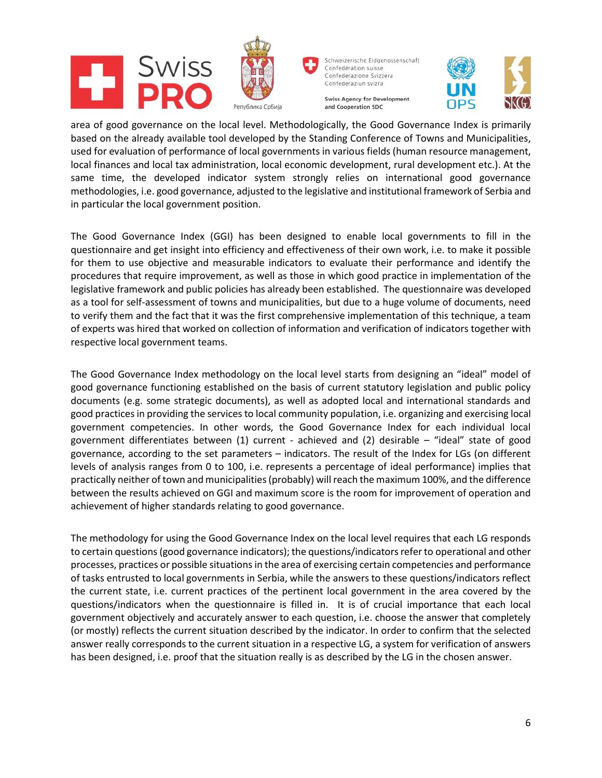







area of good governance on the local level. Methodologically, the Good Governance Index is primarily based on the already available tool developed by the Standing Conference of Towns and Municipalities, used for evaluation of performance of local governments in various fields (human resource management, local finances and local tax administration, local economic development, rural development etc.). At the same time, the developed indicator system strongly relies on international good governance methodologies, i.e. good governance, adjusted to the legislative and institutional framework of Serbia and in particular the local government position.

The Good Governance Index (GGI) has been designed to enable local governments to fill in the questionnaire and get insight into efficiency and effectiveness of their own work, i.e. to make it possible for them to use objective and measurable indicators to evaluate their performance and identify the procedures that require improvement, as well as those in which good practice in implementation of the legislative framework and public policies has already been established. The questionnaire was developed as a tool for self-assessment of towns and municipalities, but due to a huge volume of documents, need to verify them and the fact that it was the first comprehensive implementation of this technique, a team of experts was hired that worked on collection of information and verification of indicators together with respective local government teams.

The Good Governance Index methodology on the local level starts from designing an "ideal" model of good governance functioning established on the basis of current statutory legislation and public policy documents (e.g. some strategic documents), as well as adopted local and international standards and good practices in providing the services to local community population, i.e. organizing and exercising local government competencies. In other words, the Good Governance Index for each individual local government differentiates between (1) current - achieved and (2) desirable – "ideal" state of good governance, according to the set parameters – indicators. The result of the Index for LGs (on different levels of analysis ranges from 0 to 100, i.e. represents a percentage of ideal performance) implies that practically neither of town and municipalities (probably) will reach the maximum 100%, and the difference between the results achieved on GGI and maximum score is the room for improvement of operation and achievement of higher standards relating to good governance.

The methodology for using the Good Governance Index on the local level requires that each LG responds to certain questions (good governance indicators); the questions/indicators refer to operational and other processes, practices or possible situations in the area of exercising certain competencies and performance of tasks entrusted to local governments in Serbia, while the answers to these questions/indicators reflect the current state, i.e. current practices of the pertinent local government in the area covered by the questions/indicators when the questionnaire is filled in. It is of crucial importance that each local government objectively and accurately answer to each question, i.e. choose the answer that completely (or mostly) reflects the current situation described by the indicator. In order to confirm that the selected answer really corresponds to the current situation in a respective LG, a system for verification of answers has been designed, i.e. proof that the situation really is as described by the LG in the chosen answer.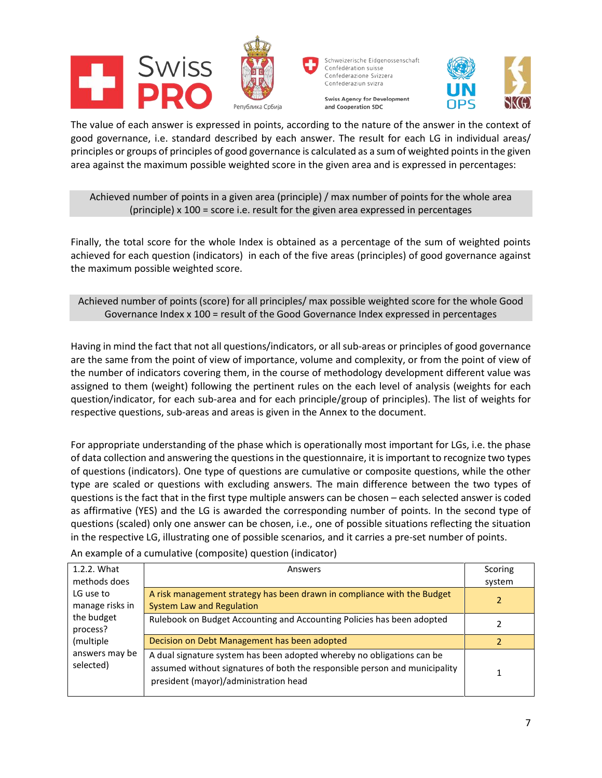







The value of each answer is expressed in points, according to the nature of the answer in the context of good governance, i.e. standard described by each answer. The result for each LG in individual areas/ principles or groups of principles of good governance is calculated as a sum of weighted points in the given area against the maximum possible weighted score in the given area and is expressed in percentages:

Achieved number of points in a given area (principle) / max number of points for the whole area (principle) x 100 = score i.e. result for the given area expressed in percentages

Finally, the total score for the whole Index is obtained as a percentage of the sum of weighted points achieved for each question (indicators) in each of the five areas (principles) of good governance against the maximum possible weighted score.

#### Achieved number of points (score) for all principles/ max possible weighted score for the whole Good Governance Index x 100 = result of the Good Governance Index expressed in percentages

Having in mind the fact that not all questions/indicators, or all sub-areas or principles of good governance are the same from the point of view of importance, volume and complexity, or from the point of view of the number of indicators covering them, in the course of methodology development different value was assigned to them (weight) following the pertinent rules on the each level of analysis (weights for each question/indicator, for each sub-area and for each principle/group of principles). The list of weights for respective questions, sub-areas and areas is given in the Annex to the document.

For appropriate understanding of the phase which is operationally most important for LGs, i.e. the phase of data collection and answering the questions in the questionnaire, it is important to recognize two types of questions (indicators). One type of questions are cumulative or composite questions, while the other type are scaled or questions with excluding answers. The main difference between the two types of questions is the fact that in the first type multiple answers can be chosen – each selected answer is coded as affirmative (YES) and the LG is awarded the corresponding number of points. In the second type of questions (scaled) only one answer can be chosen, i.e., one of possible situations reflecting the situation in the respective LG, illustrating one of possible scenarios, and it carries a pre-set number of points.

An example of a cumulative (composite) question (indicator)

| 1.2.2. What                                            | Answers                                                                                                                                                                                       | Scoring |
|--------------------------------------------------------|-----------------------------------------------------------------------------------------------------------------------------------------------------------------------------------------------|---------|
| methods does                                           |                                                                                                                                                                                               | system  |
| LG use to<br>manage risks in<br>the budget<br>process? | A risk management strategy has been drawn in compliance with the Budget<br><b>System Law and Regulation</b>                                                                                   |         |
|                                                        | Rulebook on Budget Accounting and Accounting Policies has been adopted                                                                                                                        |         |
| (multiple)                                             | Decision on Debt Management has been adopted                                                                                                                                                  |         |
| answers may be<br>selected)                            | A dual signature system has been adopted whereby no obligations can be<br>assumed without signatures of both the responsible person and municipality<br>president (mayor)/administration head |         |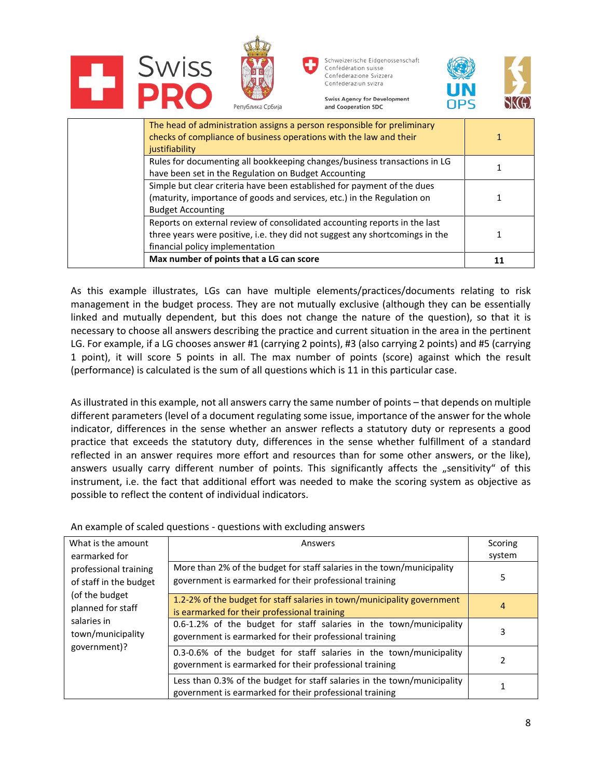

As this example illustrates, LGs can have multiple elements/practices/documents relating to risk management in the budget process. They are not mutually exclusive (although they can be essentially linked and mutually dependent, but this does not change the nature of the question), so that it is necessary to choose all answers describing the practice and current situation in the area in the pertinent LG. For example, if a LG chooses answer #1 (carrying 2 points), #3 (also carrying 2 points) and #5 (carrying 1 point), it will score 5 points in all. The max number of points (score) against which the result (performance) is calculated is the sum of all questions which is 11 in this particular case.

As illustrated in this example, not all answers carry the same number of points – that depends on multiple different parameters (level of a document regulating some issue, importance of the answer for the whole indicator, differences in the sense whether an answer reflects a statutory duty or represents a good practice that exceeds the statutory duty, differences in the sense whether fulfillment of a standard reflected in an answer requires more effort and resources than for some other answers, or the like), answers usually carry different number of points. This significantly affects the "sensitivity" of this instrument, i.e. the fact that additional effort was needed to make the scoring system as objective as possible to reflect the content of individual indicators.

An example of scaled questions - questions with excluding answers

| What is the amount<br>Answers<br>earmarked for<br>professional training<br>of staff in the budget<br>(of the budget<br>planned for staff<br>is earmarked for their professional training<br>salaries in<br>town/municipality<br>government)? |                                                                                                                                     | Scoring<br>system |
|----------------------------------------------------------------------------------------------------------------------------------------------------------------------------------------------------------------------------------------------|-------------------------------------------------------------------------------------------------------------------------------------|-------------------|
|                                                                                                                                                                                                                                              | More than 2% of the budget for staff salaries in the town/municipality<br>government is earmarked for their professional training   | 5                 |
|                                                                                                                                                                                                                                              | 1.2-2% of the budget for staff salaries in town/municipality government                                                             | 4                 |
|                                                                                                                                                                                                                                              | 0.6-1.2% of the budget for staff salaries in the town/municipality<br>government is earmarked for their professional training       | 3                 |
|                                                                                                                                                                                                                                              | 0.3-0.6% of the budget for staff salaries in the town/municipality<br>government is earmarked for their professional training       |                   |
|                                                                                                                                                                                                                                              | Less than 0.3% of the budget for staff salaries in the town/municipality<br>government is earmarked for their professional training |                   |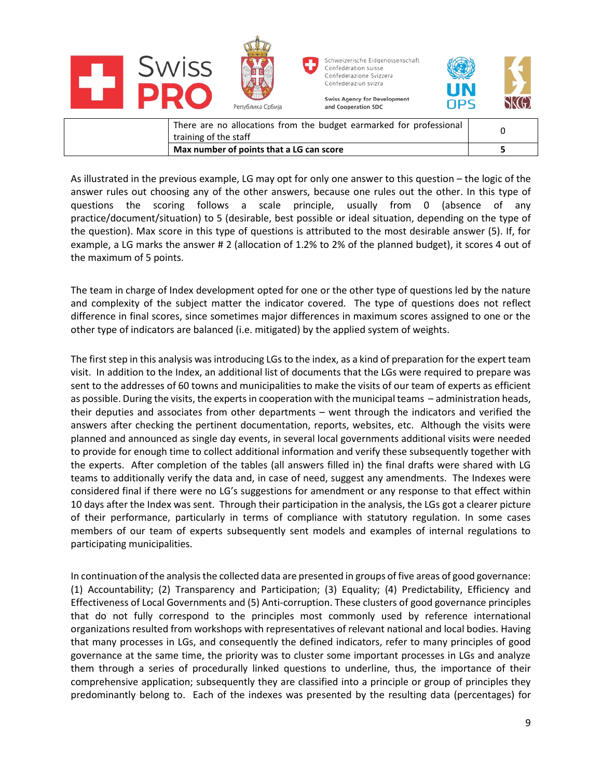

As illustrated in the previous example, LG may opt for only one answer to this question – the logic of the answer rules out choosing any of the other answers, because one rules out the other. In this type of questions the scoring follows a scale principle, usually from 0 (absence of any practice/document/situation) to 5 (desirable, best possible or ideal situation, depending on the type of the question). Max score in this type of questions is attributed to the most desirable answer (5). If, for example, a LG marks the answer # 2 (allocation of 1.2% to 2% of the planned budget), it scores 4 out of the maximum of 5 points.

The team in charge of Index development opted for one or the other type of questions led by the nature and complexity of the subject matter the indicator covered. The type of questions does not reflect difference in final scores, since sometimes major differences in maximum scores assigned to one or the other type of indicators are balanced (i.e. mitigated) by the applied system of weights.

The first step in this analysis was introducing LGs to the index, as a kind of preparation for the expert team visit. In addition to the Index, an additional list of documents that the LGs were required to prepare was sent to the addresses of 60 towns and municipalities to make the visits of our team of experts as efficient as possible. During the visits, the experts in cooperation with the municipal teams – administration heads, their deputies and associates from other departments – went through the indicators and verified the answers after checking the pertinent documentation, reports, websites, etc. Although the visits were planned and announced as single day events, in several local governments additional visits were needed to provide for enough time to collect additional information and verify these subsequently together with the experts. After completion of the tables (all answers filled in) the final drafts were shared with LG teams to additionally verify the data and, in case of need, suggest any amendments. The Indexes were considered final if there were no LG's suggestions for amendment or any response to that effect within 10 days after the Index was sent. Through their participation in the analysis, the LGs got a clearer picture of their performance, particularly in terms of compliance with statutory regulation. In some cases members of our team of experts subsequently sent models and examples of internal regulations to participating municipalities.

In continuation of the analysis the collected data are presented in groups of five areas of good governance: (1) Accountability; (2) Transparency and Participation; (3) Equality; (4) Predictability, Efficiency and Effectiveness of Local Governments and (5) Anti-corruption. These clusters of good governance principles that do not fully correspond to the principles most commonly used by reference international organizations resulted from workshops with representatives of relevant national and local bodies. Having that many processes in LGs, and consequently the defined indicators, refer to many principles of good governance at the same time, the priority was to cluster some important processes in LGs and analyze them through a series of procedurally linked questions to underline, thus, the importance of their comprehensive application; subsequently they are classified into a principle or group of principles they predominantly belong to. Each of the indexes was presented by the resulting data (percentages) for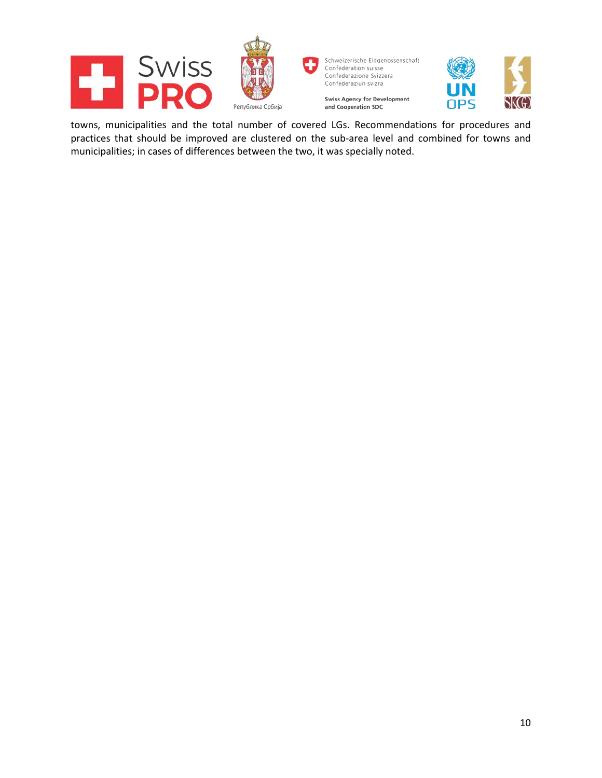







towns, municipalities and the total number of covered LGs. Recommendations for procedures and practices that should be improved are clustered on the sub-area level and combined for towns and municipalities; in cases of differences between the two, it was specially noted.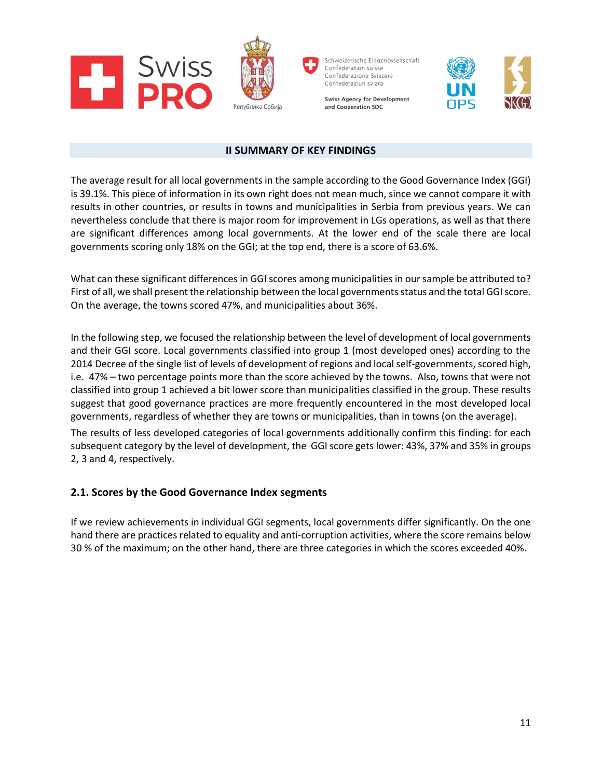







#### **II SUMMARY OF KEY FINDINGS**

<span id="page-10-0"></span>The average result for all local governments in the sample according to the Good Governance Index (GGI) is 39.1%. This piece of information in its own right does not mean much, since we cannot compare it with results in other countries, or results in towns and municipalities in Serbia from previous years. We can nevertheless conclude that there is major room for improvement in LGs operations, as well as that there are significant differences among local governments. At the lower end of the scale there are local governments scoring only 18% on the GGI; at the top end, there is a score of 63.6%.

What can these significant differences in GGI scores among municipalities in our sample be attributed to? First of all, we shall present the relationship between the local governments status and the total GGI score. On the average, the towns scored 47%, and municipalities about 36%.

In the following step, we focused the relationship between the level of development of local governments and their GGI score. Local governments classified into group 1 (most developed ones) according to the 2014 Decree of the single list of levels of development of regions and local self-governments, scored high, i.e. 47% – two percentage points more than the score achieved by the towns. Also, towns that were not classified into group 1 achieved a bit lower score than municipalities classified in the group. These results suggest that good governance practices are more frequently encountered in the most developed local governments, regardless of whether they are towns or municipalities, than in towns (on the average).

The results of less developed categories of local governments additionally confirm this finding: for each subsequent category by the level of development, the GGI score gets lower: 43%, 37% and 35% in groups 2, 3 and 4, respectively.

#### <span id="page-10-1"></span>**2.1. Scores by the Good Governance Index segments**

If we review achievements in individual GGI segments, local governments differ significantly. On the one hand there are practices related to equality and anti-corruption activities, where the score remains below 30 % of the maximum; on the other hand, there are three categories in which the scores exceeded 40%.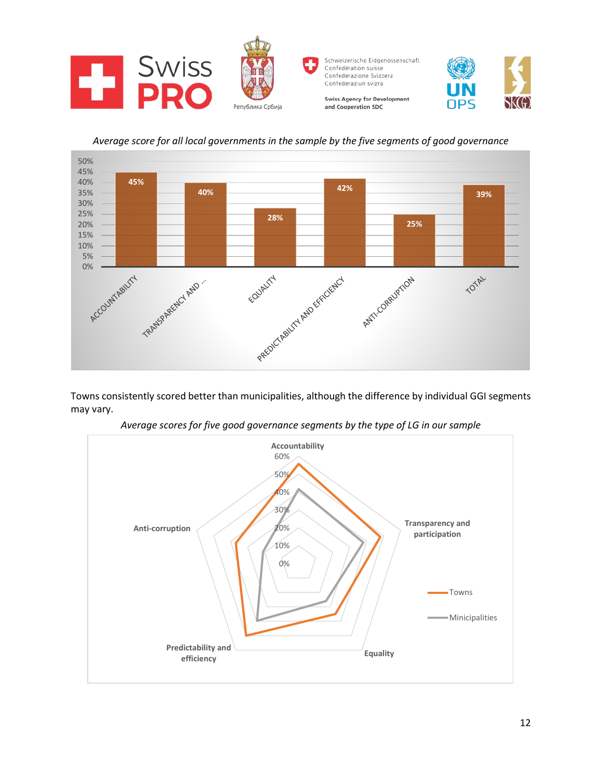





*Average score for all local governments in the sample by the five segments of good governance*

Towns consistently scored better than municipalities, although the difference by individual GGI segments may vary.

*Average scores for five good governance segments by the type of LG in our sample*

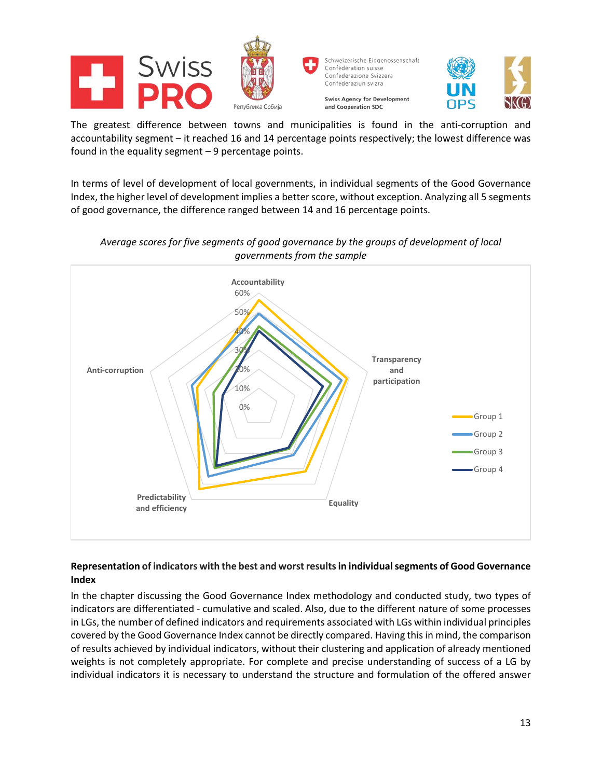







The greatest difference between towns and municipalities is found in the anti-corruption and accountability segment – it reached 16 and 14 percentage points respectively; the lowest difference was found in the equality segment – 9 percentage points.

In terms of level of development of local governments, in individual segments of the Good Governance Index, the higher level of development implies a better score, without exception. Analyzing all 5 segments of good governance, the difference ranged between 14 and 16 percentage points.



*Average scores for five segments of good governance by the groups of development of local governments from the sample*

# **Representation of indicators with the best and worst resultsin individual segments of Good Governance Index**

In the chapter discussing the Good Governance Index methodology and conducted study, two types of indicators are differentiated - cumulative and scaled. Also, due to the different nature of some processes in LGs, the number of defined indicators and requirements associated with LGs within individual principles covered by the Good Governance Index cannot be directly compared. Having this in mind, the comparison of results achieved by individual indicators, without their clustering and application of already mentioned weights is not completely appropriate. For complete and precise understanding of success of a LG by individual indicators it is necessary to understand the structure and formulation of the offered answer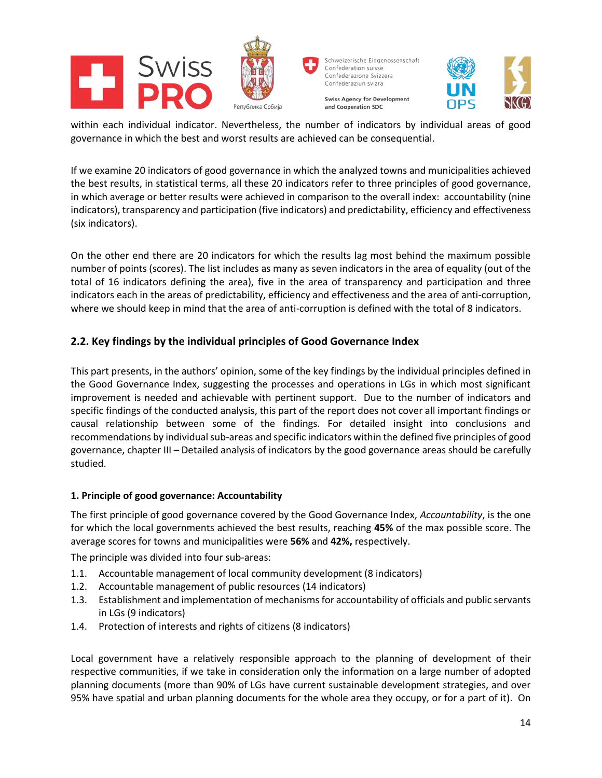







within each individual indicator. Nevertheless, the number of indicators by individual areas of good governance in which the best and worst results are achieved can be consequential.

If we examine 20 indicators of good governance in which the analyzed towns and municipalities achieved the best results, in statistical terms, all these 20 indicators refer to three principles of good governance, in which average or better results were achieved in comparison to the overall index: accountability (nine indicators), transparency and participation (five indicators) and predictability, efficiency and effectiveness (six indicators).

On the other end there are 20 indicators for which the results lag most behind the maximum possible number of points (scores). The list includes as many as seven indicators in the area of equality (out of the total of 16 indicators defining the area), five in the area of transparency and participation and three indicators each in the areas of predictability, efficiency and effectiveness and the area of anti-corruption, where we should keep in mind that the area of anti-corruption is defined with the total of 8 indicators.

# <span id="page-13-0"></span>**2.2. Key findings by the individual principles of Good Governance Index**

This part presents, in the authors' opinion, some of the key findings by the individual principles defined in the Good Governance Index, suggesting the processes and operations in LGs in which most significant improvement is needed and achievable with pertinent support. Due to the number of indicators and specific findings of the conducted analysis, this part of the report does not cover all important findings or causal relationship between some of the findings. For detailed insight into conclusions and recommendations by individual sub-areas and specific indicators within the defined five principles of good governance, chapter III – Detailed analysis of indicators by the good governance areas should be carefully studied.

#### **1. Principle of good governance: Accountability**

The first principle of good governance covered by the Good Governance Index, *Accountability*, is the one for which the local governments achieved the best results, reaching **45%** of the max possible score. The average scores for towns and municipalities were **56%** and **42%,** respectively.

The principle was divided into four sub-areas:

- 1.1. Accountable management of local community development (8 indicators)
- 1.2. Accountable management of public resources (14 indicators)
- 1.3. Establishment and implementation of mechanisms for accountability of officials and public servants in LGs (9 indicators)
- 1.4. Protection of interests and rights of citizens (8 indicators)

Local government have a relatively responsible approach to the planning of development of their respective communities, if we take in consideration only the information on a large number of adopted planning documents (more than 90% of LGs have current sustainable development strategies, and over 95% have spatial and urban planning documents for the whole area they occupy, or for a part of it). On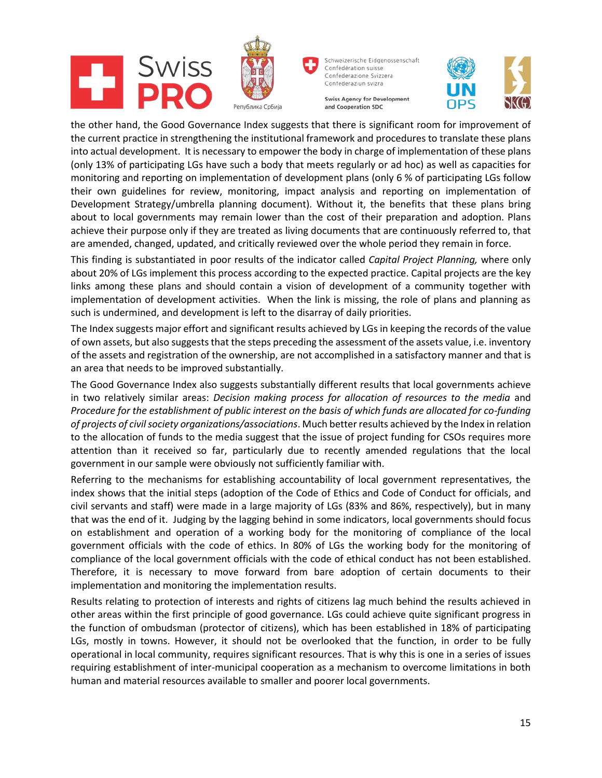# **Swiss**





and Cooperation SDC



the other hand, the Good Governance Index suggests that there is significant room for improvement of the current practice in strengthening the institutional framework and procedures to translate these plans into actual development. It is necessary to empower the body in charge of implementation of these plans (only 13% of participating LGs have such a body that meets regularly or ad hoc) as well as capacities for monitoring and reporting on implementation of development plans (only 6 % of participating LGs follow their own guidelines for review, monitoring, impact analysis and reporting on implementation of Development Strategy/umbrella planning document). Without it, the benefits that these plans bring about to local governments may remain lower than the cost of their preparation and adoption. Plans achieve their purpose only if they are treated as living documents that are continuously referred to, that are amended, changed, updated, and critically reviewed over the whole period they remain in force.

This finding is substantiated in poor results of the indicator called *Capital Project Planning,* where only about 20% of LGs implement this process according to the expected practice. Capital projects are the key links among these plans and should contain a vision of development of a community together with implementation of development activities. When the link is missing, the role of plans and planning as such is undermined, and development is left to the disarray of daily priorities.

The Index suggests major effort and significant results achieved by LGs in keeping the records of the value of own assets, but also suggeststhat the steps preceding the assessment of the assets value, i.e. inventory of the assets and registration of the ownership, are not accomplished in a satisfactory manner and that is an area that needs to be improved substantially.

The Good Governance Index also suggests substantially different results that local governments achieve in two relatively similar areas: *Decision making process for allocation of resources to the media* and *Procedure for the establishment of public interest on the basis of which funds are allocated for co-funding of projects of civil society organizations/associations*. Much better results achieved by the Index in relation to the allocation of funds to the media suggest that the issue of project funding for CSOs requires more attention than it received so far, particularly due to recently amended regulations that the local government in our sample were obviously not sufficiently familiar with.

Referring to the mechanisms for establishing accountability of local government representatives, the index shows that the initial steps (adoption of the Code of Ethics and Code of Conduct for officials, and civil servants and staff) were made in a large majority of LGs (83% and 86%, respectively), but in many that was the end of it. Judging by the lagging behind in some indicators, local governments should focus on establishment and operation of a working body for the monitoring of compliance of the local government officials with the code of ethics. In 80% of LGs the working body for the monitoring of compliance of the local government officials with the code of ethical conduct has not been established. Therefore, it is necessary to move forward from bare adoption of certain documents to their implementation and monitoring the implementation results.

Results relating to protection of interests and rights of citizens lag much behind the results achieved in other areas within the first principle of good governance. LGs could achieve quite significant progress in the function of ombudsman (protector of citizens), which has been established in 18% of participating LGs, mostly in towns. However, it should not be overlooked that the function, in order to be fully operational in local community, requires significant resources. That is why this is one in a series of issues requiring establishment of inter-municipal cooperation as a mechanism to overcome limitations in both human and material resources available to smaller and poorer local governments.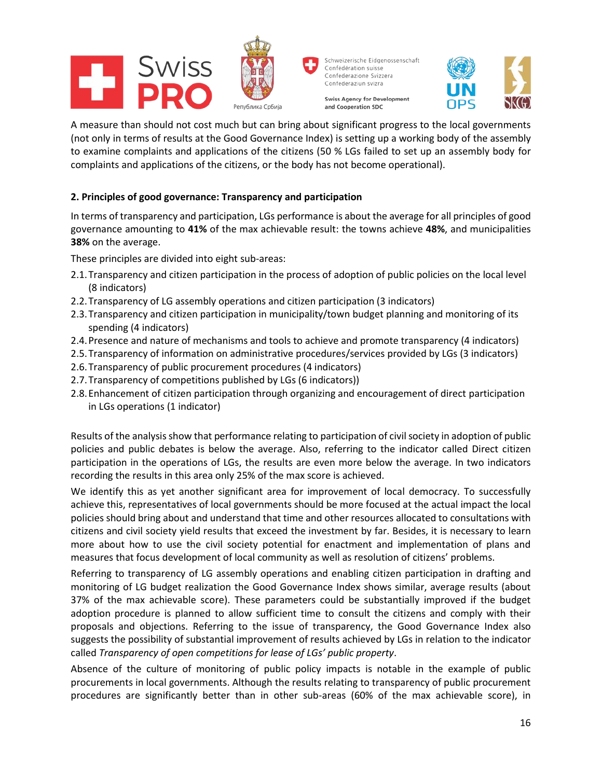# Swiss







A measure than should not cost much but can bring about significant progress to the local governments (not only in terms of results at the Good Governance Index) is setting up a working body of the assembly to examine complaints and applications of the citizens (50 % LGs failed to set up an assembly body for complaints and applications of the citizens, or the body has not become operational).

# **2. Principles of good governance: Transparency and participation**

In terms of transparency and participation, LGs performance is about the average for all principles of good governance amounting to **41%** of the max achievable result: the towns achieve **48%**, and municipalities **38%** on the average.

These principles are divided into eight sub-areas:

- 2.1.Transparency and citizen participation in the process of adoption of public policies on the local level (8 indicators)
- 2.2.Transparency of LG assembly operations and citizen participation (3 indicators)
- 2.3.Transparency and citizen participation in municipality/town budget planning and monitoring of its spending (4 indicators)
- 2.4.Presence and nature of mechanisms and tools to achieve and promote transparency (4 indicators)
- 2.5.Transparency of information on administrative procedures/services provided by LGs (3 indicators)
- 2.6.Transparency of public procurement procedures (4 indicators)
- 2.7.Transparency of competitions published by LGs (6 indicators))
- 2.8.Enhancement of citizen participation through organizing and encouragement of direct participation in LGs operations (1 indicator)

Results of the analysis show that performance relating to participation of civil society in adoption of public policies and public debates is below the average. Also, referring to the indicator called Direct citizen participation in the operations of LGs, the results are even more below the average. In two indicators recording the results in this area only 25% of the max score is achieved.

We identify this as yet another significant area for improvement of local democracy. To successfully achieve this, representatives of local governments should be more focused at the actual impact the local policies should bring about and understand that time and other resources allocated to consultations with citizens and civil society yield results that exceed the investment by far. Besides, it is necessary to learn more about how to use the civil society potential for enactment and implementation of plans and measures that focus development of local community as well as resolution of citizens' problems.

Referring to transparency of LG assembly operations and enabling citizen participation in drafting and monitoring of LG budget realization the Good Governance Index shows similar, average results (about 37% of the max achievable score). These parameters could be substantially improved if the budget adoption procedure is planned to allow sufficient time to consult the citizens and comply with their proposals and objections. Referring to the issue of transparency, the Good Governance Index also suggests the possibility of substantial improvement of results achieved by LGs in relation to the indicator called *Transparency of open competitions for lease of LGs' public property*.

Absence of the culture of monitoring of public policy impacts is notable in the example of public procurements in local governments. Although the results relating to transparency of public procurement procedures are significantly better than in other sub-areas (60% of the max achievable score), in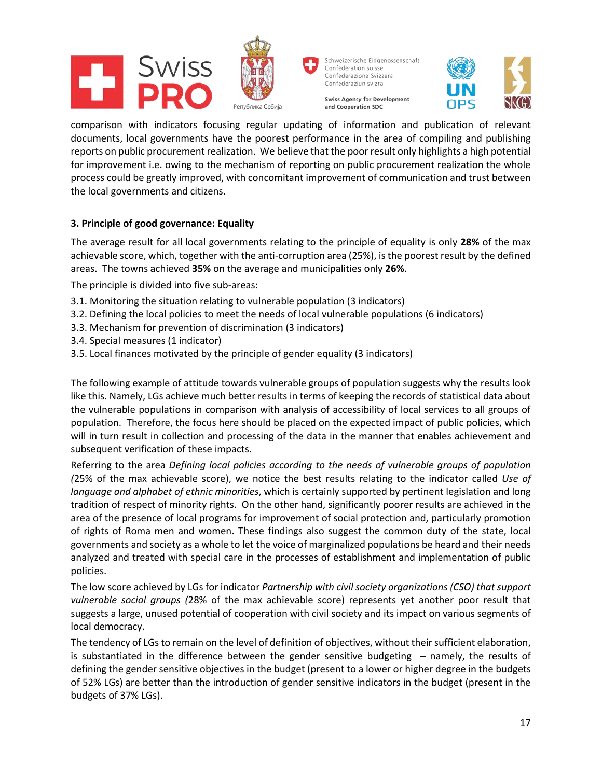







comparison with indicators focusing regular updating of information and publication of relevant documents, local governments have the poorest performance in the area of compiling and publishing reports on public procurement realization. We believe that the poor result only highlights a high potential for improvement i.e. owing to the mechanism of reporting on public procurement realization the whole process could be greatly improved, with concomitant improvement of communication and trust between the local governments and citizens.

#### **3. Principle of good governance: Equality**

The average result for all local governments relating to the principle of equality is only **28%** of the max achievable score, which, together with the anti-corruption area (25%), is the poorest result by the defined areas. The towns achieved **35%** on the average and municipalities only **26%**.

The principle is divided into five sub-areas:

- 3.1. Monitoring the situation relating to vulnerable population (3 indicators)
- 3.2. Defining the local policies to meet the needs of local vulnerable populations (6 indicators)
- 3.3. Mechanism for prevention of discrimination (3 indicators)
- 3.4. Special measures (1 indicator)
- 3.5. Local finances motivated by the principle of gender equality (3 indicators)

The following example of attitude towards vulnerable groups of population suggests why the results look like this. Namely, LGs achieve much better results in terms of keeping the records of statistical data about the vulnerable populations in comparison with analysis of accessibility of local services to all groups of population. Therefore, the focus here should be placed on the expected impact of public policies, which will in turn result in collection and processing of the data in the manner that enables achievement and subsequent verification of these impacts.

Referring to the area *Defining local policies according to the needs of vulnerable groups of population (*25% of the max achievable score), we notice the best results relating to the indicator called *Use of language and alphabet of ethnic minorities*, which is certainly supported by pertinent legislation and long tradition of respect of minority rights. On the other hand, significantly poorer results are achieved in the area of the presence of local programs for improvement of social protection and, particularly promotion of rights of Roma men and women. These findings also suggest the common duty of the state, local governments and society as a whole to let the voice of marginalized populations be heard and their needs analyzed and treated with special care in the processes of establishment and implementation of public policies.

The low score achieved by LGs for indicator *Partnership with civil society organizations (CSO) that support vulnerable social groups (*28% of the max achievable score) represents yet another poor result that suggests a large, unused potential of cooperation with civil society and its impact on various segments of local democracy.

The tendency of LGs to remain on the level of definition of objectives, without their sufficient elaboration, is substantiated in the difference between the gender sensitive budgeting  $-$  namely, the results of defining the gender sensitive objectives in the budget (present to a lower or higher degree in the budgets of 52% LGs) are better than the introduction of gender sensitive indicators in the budget (present in the budgets of 37% LGs).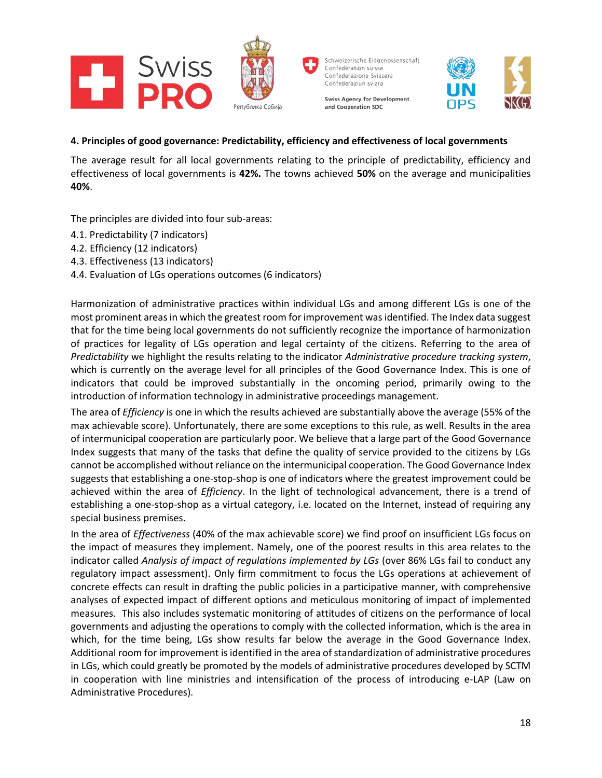







#### **4. Principles of good governance: Predictability, efficiency and effectiveness of local governments**

The average result for all local governments relating to the principle of predictability, efficiency and effectiveness of local governments is **42%.** The towns achieved **50%** on the average and municipalities **40%**.

The principles are divided into four sub-areas:

- 4.1. Predictability (7 indicators)
- 4.2. Efficiency (12 indicators)
- 4.3. Effectiveness (13 indicators)
- 4.4. Evaluation of LGs operations outcomes (6 indicators)

Harmonization of administrative practices within individual LGs and among different LGs is one of the most prominent areas in which the greatest room for improvement was identified. The Index data suggest that for the time being local governments do not sufficiently recognize the importance of harmonization of practices for legality of LGs operation and legal certainty of the citizens. Referring to the area of *Predictability* we highlight the results relating to the indicator *Administrative procedure tracking system*, which is currently on the average level for all principles of the Good Governance Index. This is one of indicators that could be improved substantially in the oncoming period, primarily owing to the introduction of information technology in administrative proceedings management.

The area of *Efficiency* is one in which the results achieved are substantially above the average (55% of the max achievable score). Unfortunately, there are some exceptions to this rule, as well. Results in the area of intermunicipal cooperation are particularly poor. We believe that a large part of the Good Governance Index suggests that many of the tasks that define the quality of service provided to the citizens by LGs cannot be accomplished without reliance on the intermunicipal cooperation. The Good Governance Index suggests that establishing a one-stop-shop is one of indicators where the greatest improvement could be achieved within the area of *Efficiency*. In the light of technological advancement, there is a trend of establishing a one-stop-shop as a virtual category, i.e. located on the Internet, instead of requiring any special business premises.

In the area of *Effectiveness* (40% of the max achievable score) we find proof on insufficient LGs focus on the impact of measures they implement. Namely, one of the poorest results in this area relates to the indicator called *Analysis of impact of regulations implemented by LGs* (over 86% LGs fail to conduct any regulatory impact assessment). Only firm commitment to focus the LGs operations at achievement of concrete effects can result in drafting the public policies in a participative manner, with comprehensive analyses of expected impact of different options and meticulous monitoring of impact of implemented measures. This also includes systematic monitoring of attitudes of citizens on the performance of local governments and adjusting the operations to comply with the collected information, which is the area in which, for the time being, LGs show results far below the average in the Good Governance Index. Additional room for improvement is identified in the area of standardization of administrative procedures in LGs, which could greatly be promoted by the models of administrative procedures developed by SCTM in cooperation with line ministries and intensification of the process of introducing e-LAP (Law on Administrative Procedures).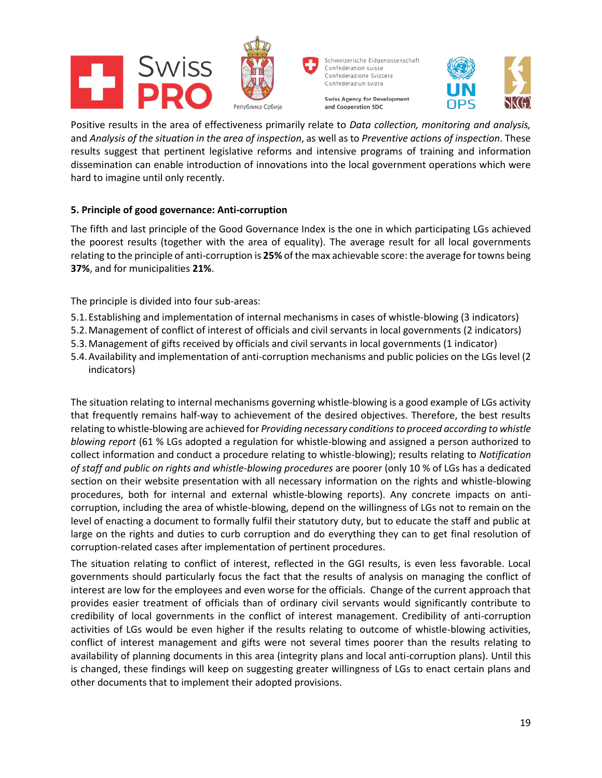







Positive results in the area of effectiveness primarily relate to *Data collection, monitoring and analysis,*  and *Analysis of the situation in the area of inspection*, as well as to *Preventive actions of inspection*. These results suggest that pertinent legislative reforms and intensive programs of training and information dissemination can enable introduction of innovations into the local government operations which were hard to imagine until only recently.

#### **5. Principle of good governance: Anti-corruption**

The fifth and last principle of the Good Governance Index is the one in which participating LGs achieved the poorest results (together with the area of equality). The average result for all local governments relating to the principle of anti-corruption is **25%** of the max achievable score: the average for towns being **37%**, and for municipalities **21%**.

The principle is divided into four sub-areas:

- 5.1.Establishing and implementation of internal mechanisms in cases of whistle-blowing (3 indicators)
- 5.2.Management of conflict of interest of officials and civil servants in local governments (2 indicators)
- 5.3.Management of gifts received by officials and civil servants in local governments (1 indicator)
- 5.4.Availability and implementation of anti-corruption mechanisms and public policies on the LGs level (2 indicators)

The situation relating to internal mechanisms governing whistle-blowing is a good example of LGs activity that frequently remains half-way to achievement of the desired objectives. Therefore, the best results relating to whistle-blowing are achieved for *Providing necessary conditions to proceed according to whistle blowing report* (61 % LGs adopted a regulation for whistle-blowing and assigned a person authorized to collect information and conduct a procedure relating to whistle-blowing); results relating to *Notification of staff and public on rights and whistle-blowing procedures* are poorer (only 10 % of LGs has a dedicated section on their website presentation with all necessary information on the rights and whistle-blowing procedures, both for internal and external whistle-blowing reports). Any concrete impacts on anticorruption, including the area of whistle-blowing, depend on the willingness of LGs not to remain on the level of enacting a document to formally fulfil their statutory duty, but to educate the staff and public at large on the rights and duties to curb corruption and do everything they can to get final resolution of corruption-related cases after implementation of pertinent procedures.

The situation relating to conflict of interest, reflected in the GGI results, is even less favorable. Local governments should particularly focus the fact that the results of analysis on managing the conflict of interest are low for the employees and even worse for the officials. Change of the current approach that provides easier treatment of officials than of ordinary civil servants would significantly contribute to credibility of local governments in the conflict of interest management. Credibility of anti-corruption activities of LGs would be even higher if the results relating to outcome of whistle-blowing activities, conflict of interest management and gifts were not several times poorer than the results relating to availability of planning documents in this area (integrity plans and local anti-corruption plans). Until this is changed, these findings will keep on suggesting greater willingness of LGs to enact certain plans and other documents that to implement their adopted provisions.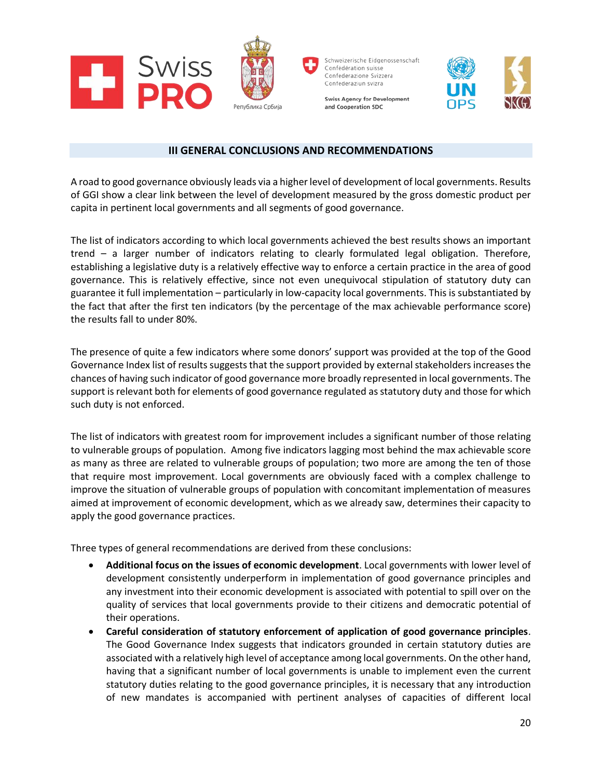







#### **III GENERAL CONCLUSIONS AND RECOMMENDATIONS**

<span id="page-19-0"></span>A road to good governance obviously leads via a higher level of development of local governments. Results of GGI show a clear link between the level of development measured by the gross domestic product per capita in pertinent local governments and all segments of good governance.

The list of indicators according to which local governments achieved the best results shows an important trend – a larger number of indicators relating to clearly formulated legal obligation. Therefore, establishing a legislative duty is a relatively effective way to enforce a certain practice in the area of good governance. This is relatively effective, since not even unequivocal stipulation of statutory duty can guarantee it full implementation – particularly in low-capacity local governments. This is substantiated by the fact that after the first ten indicators (by the percentage of the max achievable performance score) the results fall to under 80%.

The presence of quite a few indicators where some donors' support was provided at the top of the Good Governance Index list of results suggests that the support provided by external stakeholders increases the chances of having such indicator of good governance more broadly represented in local governments. The support is relevant both for elements of good governance regulated as statutory duty and those for which such duty is not enforced.

The list of indicators with greatest room for improvement includes a significant number of those relating to vulnerable groups of population. Among five indicators lagging most behind the max achievable score as many as three are related to vulnerable groups of population; two more are among the ten of those that require most improvement. Local governments are obviously faced with a complex challenge to improve the situation of vulnerable groups of population with concomitant implementation of measures aimed at improvement of economic development, which as we already saw, determines their capacity to apply the good governance practices.

Three types of general recommendations are derived from these conclusions:

- **Additional focus on the issues of economic development**. Local governments with lower level of development consistently underperform in implementation of good governance principles and any investment into their economic development is associated with potential to spill over on the quality of services that local governments provide to their citizens and democratic potential of their operations.
- **Careful consideration of statutory enforcement of application of good governance principles**. The Good Governance Index suggests that indicators grounded in certain statutory duties are associated with a relatively high level of acceptance among local governments. On the other hand, having that a significant number of local governments is unable to implement even the current statutory duties relating to the good governance principles, it is necessary that any introduction of new mandates is accompanied with pertinent analyses of capacities of different local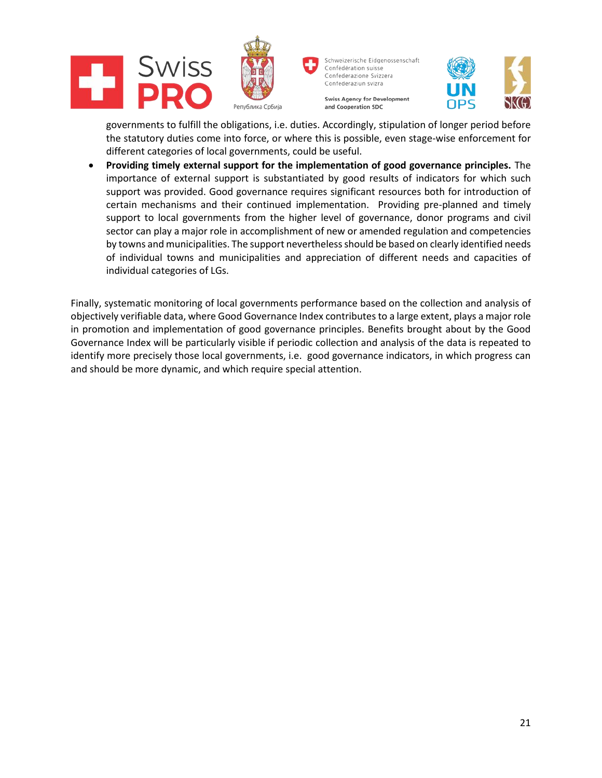







governments to fulfill the obligations, i.e. duties. Accordingly, stipulation of longer period before the statutory duties come into force, or where this is possible, even stage-wise enforcement for different categories of local governments, could be useful.

 **Providing timely external support for the implementation of good governance principles.** The importance of external support is substantiated by good results of indicators for which such support was provided. Good governance requires significant resources both for introduction of certain mechanisms and their continued implementation. Providing pre-planned and timely support to local governments from the higher level of governance, donor programs and civil sector can play a major role in accomplishment of new or amended regulation and competencies by towns and municipalities. The support nevertheless should be based on clearly identified needs of individual towns and municipalities and appreciation of different needs and capacities of individual categories of LGs.

Finally, systematic monitoring of local governments performance based on the collection and analysis of objectively verifiable data, where Good Governance Index contributes to a large extent, plays a major role in promotion and implementation of good governance principles. Benefits brought about by the Good Governance Index will be particularly visible if periodic collection and analysis of the data is repeated to identify more precisely those local governments, i.e. good governance indicators, in which progress can and should be more dynamic, and which require special attention.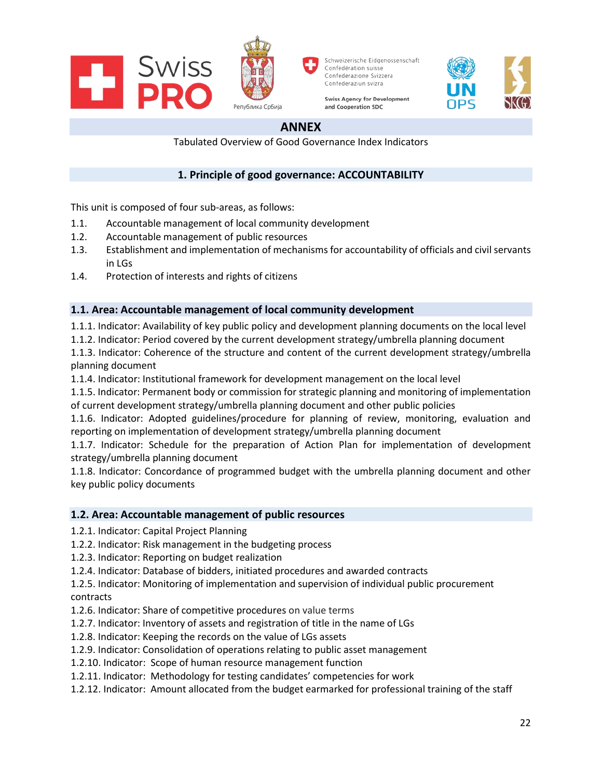<span id="page-21-0"></span>







# **ANNEX**

Tabulated Overview of Good Governance Index Indicators

# **1. Principle of good governance: ACCOUNTABILITY**

This unit is composed of four sub-areas, as follows:

- 1.1. Accountable management of local community development
- 1.2. Accountable management of public resources
- 1.3. Establishment and implementation of mechanisms for accountability of officials and civil servants in LGs
- 1.4. Protection of interests and rights of citizens

#### **1.1. Area: Accountable management of local community development**

1.1.1. Indicator: Availability of key public policy and development planning documents on the local level

1.1.2. Indicator: Period covered by the current development strategy/umbrella planning document

1.1.3. Indicator: Coherence of the structure and content of the current development strategy/umbrella planning document

1.1.4. Indicator: Institutional framework for development management on the local level

1.1.5. Indicator: Permanent body or commission for strategic planning and monitoring of implementation of current development strategy/umbrella planning document and other public policies

1.1.6. Indicator: Adopted guidelines/procedure for planning of review, monitoring, evaluation and reporting on implementation of development strategy/umbrella planning document

1.1.7. Indicator: Schedule for the preparation of Action Plan for implementation of development strategy/umbrella planning document

1.1.8. Indicator: Concordance of programmed budget with the umbrella planning document and other key public policy documents

# **1.2. Area: Accountable management of public resources**

- 1.2.1. Indicator: Capital Project Planning
- 1.2.2. Indicator: Risk management in the budgeting process
- 1.2.3. Indicator: Reporting on budget realization
- 1.2.4. Indicator: Database of bidders, initiated procedures and awarded contracts
- 1.2.5. Indicator: Monitoring of implementation and supervision of individual public procurement contracts
- 1.2.6. Indicator: Share of competitive procedures on value terms
- 1.2.7. Indicator: Inventory of assets and registration of title in the name of LGs
- 1.2.8. Indicator: Keeping the records on the value of LGs assets
- 1.2.9. Indicator: Consolidation of operations relating to public asset management
- 1.2.10. Indicator: Scope of human resource management function
- 1.2.11. Indicator: Methodology for testing candidates' competencies for work
- 1.2.12. Indicator: Amount allocated from the budget earmarked for professional training of the staff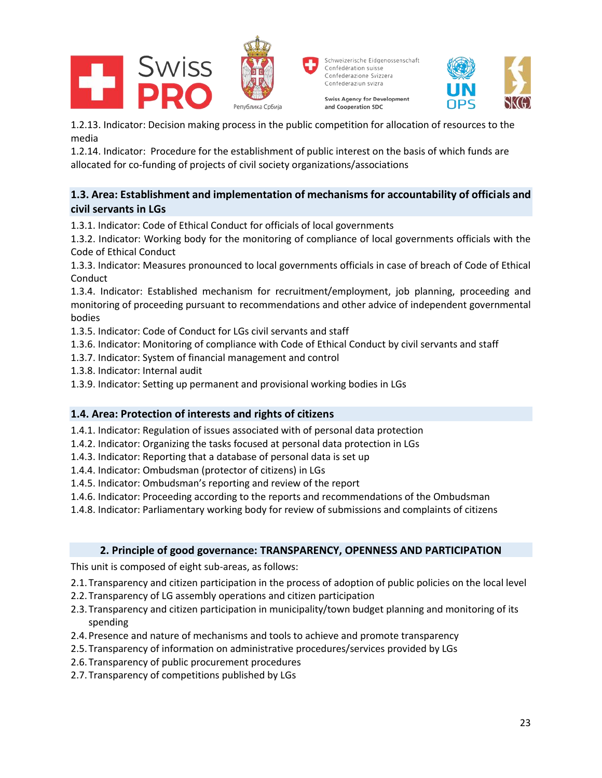





and Cooperation SDC



1.2.13. Indicator: Decision making process in the public competition for allocation of resources to the media

1.2.14. Indicator: Procedure for the establishment of public interest on the basis of which funds are allocated for co-funding of projects of civil society organizations/associations

# **1.3. Area: Establishment and implementation of mechanisms for accountability of officials and civil servants in LGs**

1.3.1. Indicator: Code of Ethical Conduct for officials of local governments

1.3.2. Indicator: Working body for the monitoring of compliance of local governments officials with the Code of Ethical Conduct

1.3.3. Indicator: Measures pronounced to local governments officials in case of breach of Code of Ethical Conduct

1.3.4. Indicator: Established mechanism for recruitment/employment, job planning, proceeding and monitoring of proceeding pursuant to recommendations and other advice of independent governmental bodies

1.3.5. Indicator: Code of Conduct for LGs civil servants and staff

1.3.6. Indicator: Monitoring of compliance with Code of Ethical Conduct by civil servants and staff

- 1.3.7. Indicator: System of financial management and control
- 1.3.8. Indicator: Internal audit
- 1.3.9. Indicator: Setting up permanent and provisional working bodies in LGs

# **1.4. Area: Protection of interests and rights of citizens**

1.4.1. Indicator: Regulation of issues associated with of personal data protection

1.4.2. Indicator: Organizing the tasks focused at personal data protection in LGs

1.4.3. Indicator: Reporting that a database of personal data is set up

1.4.4. Indicator: Ombudsman (protector of citizens) in LGs

1.4.5. Indicator: Ombudsman's reporting and review of the report

1.4.6. Indicator: Proceeding according to the reports and recommendations of the Ombudsman

1.4.8. Indicator: Parliamentary working body for review of submissions and complaints of citizens

#### **2. Principle of good governance: TRANSPARENCY, OPENNESS AND PARTICIPATION**

This unit is composed of eight sub-areas, as follows:

- 2.1.Transparency and citizen participation in the process of adoption of public policies on the local level
- 2.2.Transparency of LG assembly operations and citizen participation
- 2.3.Transparency and citizen participation in municipality/town budget planning and monitoring of its spending
- 2.4.Presence and nature of mechanisms and tools to achieve and promote transparency
- 2.5.Transparency of information on administrative procedures/services provided by LGs
- 2.6.Transparency of public procurement procedures
- 2.7.Transparency of competitions published by LGs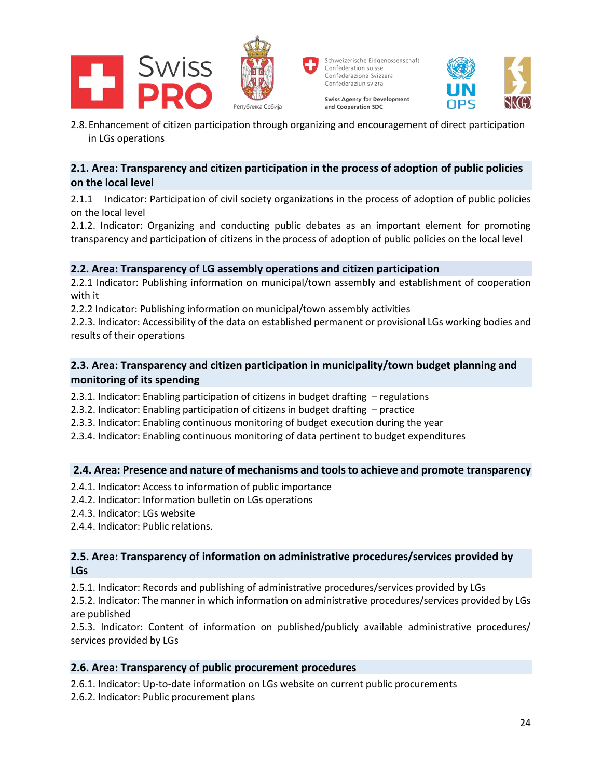







2.8.Enhancement of citizen participation through organizing and encouragement of direct participation in LGs operations

### **2.1. Area: Transparency and citizen participation in the process of adoption of public policies on the local level**

2.1.1 Indicator: Participation of civil society organizations in the process of adoption of public policies on the local level

2.1.2. Indicator: Organizing and conducting public debates as an important element for promoting transparency and participation of citizens in the process of adoption of public policies on the local level

#### **2.2. Area: Transparency of LG assembly operations and citizen participation**

2.2.1 Indicator: Publishing information on municipal/town assembly and establishment of cooperation with it

2.2.2 Indicator: Publishing information on municipal/town assembly activities

2.2.3. Indicator: Accessibility of the data on established permanent or provisional LGs working bodies and results of their operations

# **2.3. Area: Transparency and citizen participation in municipality/town budget planning and monitoring of its spending**

2.3.1. Indicator: Enabling participation of citizens in budget drafting – regulations

- 2.3.2. Indicator: Enabling participation of citizens in budget drafting practice
- 2.3.3. Indicator: Enabling continuous monitoring of budget execution during the year
- 2.3.4. Indicator: Enabling continuous monitoring of data pertinent to budget expenditures

#### **2.4. Area: Presence and nature of mechanisms and tools to achieve and promote transparency**

- 2.4.1. Indicator: Access to information of public importance
- 2.4.2. Indicator: Information bulletin on LGs operations
- 2.4.3. Indicator: LGs website
- 2.4.4. Indicator: Public relations.

#### **2.5. Area: Transparency of information on administrative procedures/services provided by LGs**

2.5.1. Indicator: Records and publishing of administrative procedures/services provided by LGs

2.5.2. Indicator: The manner in which information on administrative procedures/services provided by LGs are published

2.5.3. Indicator: Content of information on published/publicly available administrative procedures/ services provided by LGs

#### **2.6. Area: Transparency of public procurement procedures**

2.6.1. Indicator: Up-to-date information on LGs website on current public procurements 2.6.2. Indicator: Public procurement plans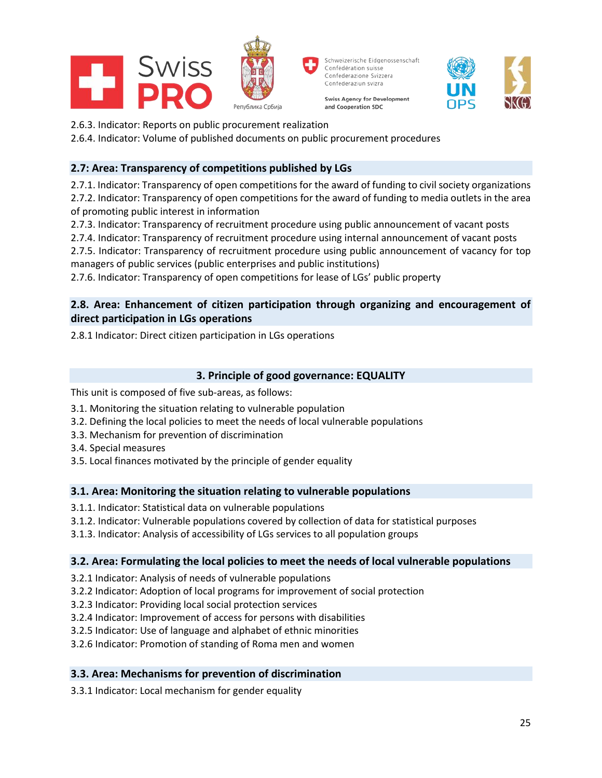



Schweizerische Eidgenossenschaft Confédération suisse Confederazione Svizzera Confederaziun svizra

**Swiss Agency for Development** and Cooperation SDC



2.6.3. Indicator: Reports on public procurement realization

2.6.4. Indicator: Volume of published documents on public procurement procedures

# **2.7: Area: Transparency of competitions published by LGs**

2.7.1. Indicator: Transparency of open competitions for the award of funding to civil society organizations 2.7.2. Indicator: Transparency of open competitions for the award of funding to media outlets in the area of promoting public interest in information

2.7.3. Indicator: Transparency of recruitment procedure using public announcement of vacant posts

2.7.4. Indicator: Transparency of recruitment procedure using internal announcement of vacant posts

2.7.5. Indicator: Transparency of recruitment procedure using public announcement of vacancy for top managers of public services (public enterprises and public institutions)

2.7.6. Indicator: Transparency of open competitions for lease of LGs' public property

# **2.8. Area: Enhancement of citizen participation through organizing and encouragement of direct participation in LGs operations**

2.8.1 Indicator: Direct citizen participation in LGs operations

# **3. Principle of good governance: EQUALITY**

This unit is composed of five sub-areas, as follows:

- 3.1. Monitoring the situation relating to vulnerable population
- 3.2. Defining the local policies to meet the needs of local vulnerable populations
- 3.3. Mechanism for prevention of discrimination
- 3.4. Special measures
- 3.5. Local finances motivated by the principle of gender equality

# **3.1. Area: Monitoring the situation relating to vulnerable populations**

- 3.1.1. Indicator: Statistical data on vulnerable populations
- 3.1.2. Indicator: Vulnerable populations covered by collection of data for statistical purposes
- 3.1.3. Indicator: Analysis of accessibility of LGs services to all population groups

# **3.2. Area: Formulating the local policies to meet the needs of local vulnerable populations**

- 3.2.1 Indicator: Analysis of needs of vulnerable populations
- 3.2.2 Indicator: Adoption of local programs for improvement of social protection
- 3.2.3 Indicator: Providing local social protection services
- 3.2.4 Indicator: Improvement of access for persons with disabilities
- 3.2.5 Indicator: Use of language and alphabet of ethnic minorities
- 3.2.6 Indicator: Promotion of standing of Roma men and women

#### **3.3. Area: Mechanisms for prevention of discrimination**

3.3.1 Indicator: Local mechanism for gender equality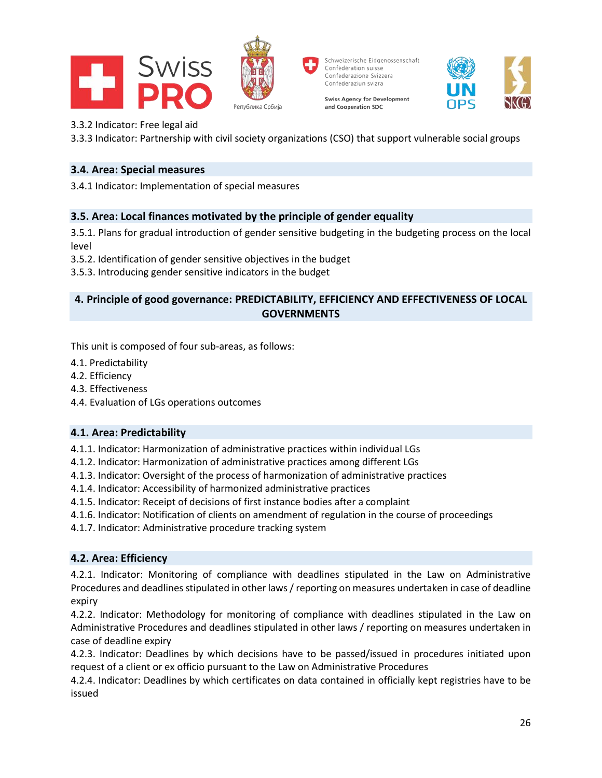







#### 3.3.2 Indicator: Free legal aid

3.3.3 Indicator: Partnership with civil society organizations (CSO) that support vulnerable social groups

#### **3.4. Area: Special measures**

3.4.1 Indicator: Implementation of special measures

#### **3.5. Area: Local finances motivated by the principle of gender equality**

3.5.1. Plans for gradual introduction of gender sensitive budgeting in the budgeting process on the local level

3.5.2. Identification of gender sensitive objectives in the budget

3.5.3. Introducing gender sensitive indicators in the budget

# **4. Principle of good governance: PREDICTABILITY, EFFICIENCY AND EFFECTIVENESS OF LOCAL GOVERNMENTS**

This unit is composed of four sub-areas, as follows:

- 4.1. Predictability
- 4.2. Efficiency
- 4.3. Effectiveness
- 4.4. Evaluation of LGs operations outcomes

#### **4.1. Area: Predictability**

4.1.1. Indicator: Harmonization of administrative practices within individual LGs

- 4.1.2. Indicator: Harmonization of administrative practices among different LGs
- 4.1.3. Indicator: Oversight of the process of harmonization of administrative practices

4.1.4. Indicator: Accessibility of harmonized administrative practices

4.1.5. Indicator: Receipt of decisions of first instance bodies after a complaint

- 4.1.6. Indicator: Notification of clients on amendment of regulation in the course of proceedings
- 4.1.7. Indicator: Administrative procedure tracking system

#### **4.2. Area: Efficiency**

4.2.1. Indicator: Monitoring of compliance with deadlines stipulated in the Law on Administrative Procedures and deadlines stipulated in other laws / reporting on measures undertaken in case of deadline expiry

4.2.2. Indicator: Methodology for monitoring of compliance with deadlines stipulated in the Law on Administrative Procedures and deadlines stipulated in other laws / reporting on measures undertaken in case of deadline expiry

4.2.3. Indicator: Deadlines by which decisions have to be passed/issued in procedures initiated upon request of a client or ex officio pursuant to the Law on Administrative Procedures

4.2.4. Indicator: Deadlines by which certificates on data contained in officially kept registries have to be issued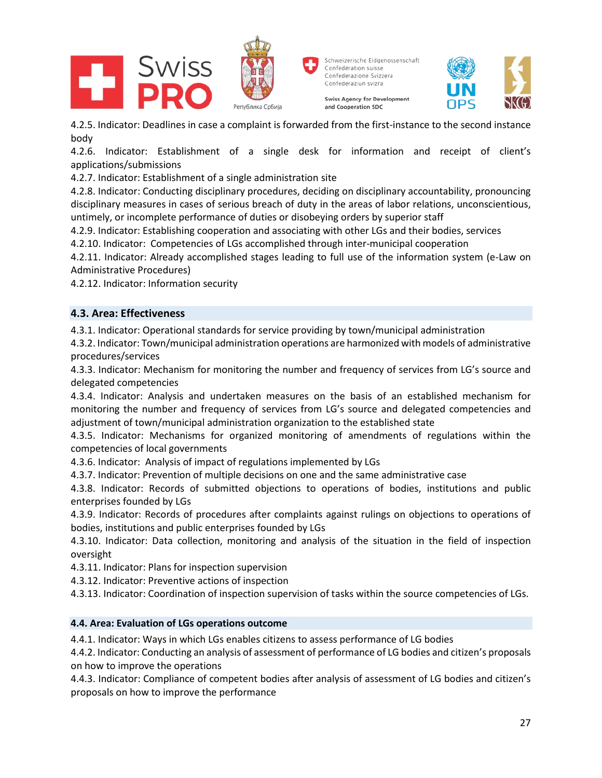







4.2.5. Indicator: Deadlines in case a complaint is forwarded from the first-instance to the second instance body

4.2.6. Indicator: Establishment of a single desk for information and receipt of client's applications/submissions

4.2.7. Indicator: Establishment of a single administration site

4.2.8. Indicator: Conducting disciplinary procedures, deciding on disciplinary accountability, pronouncing disciplinary measures in cases of serious breach of duty in the areas of labor relations, unconscientious, untimely, or incomplete performance of duties or disobeying orders by superior staff

4.2.9. Indicator: Establishing cooperation and associating with other LGs and their bodies, services

4.2.10. Indicator: Competencies of LGs accomplished through inter-municipal cooperation

4.2.11. Indicator: Already accomplished stages leading to full use of the information system (e-Law on Administrative Procedures)

4.2.12. Indicator: Information security

#### **4.3. Area: Effectiveness**

4.3.1. Indicator: Operational standards for service providing by town/municipal administration

4.3.2. Indicator: Town/municipal administration operations are harmonized with models of administrative procedures/services

4.3.3. Indicator: Mechanism for monitoring the number and frequency of services from LG's source and delegated competencies

4.3.4. Indicator: Analysis and undertaken measures on the basis of an established mechanism for monitoring the number and frequency of services from LG's source and delegated competencies and adjustment of town/municipal administration organization to the established state

4.3.5. Indicator: Mechanisms for organized monitoring of amendments of regulations within the competencies of local governments

4.3.6. Indicator: Analysis of impact of regulations implemented by LGs

4.3.7. Indicator: Prevention of multiple decisions on one and the same administrative case

4.3.8. Indicator: Records of submitted objections to operations of bodies, institutions and public enterprises founded by LGs

4.3.9. Indicator: Records of procedures after complaints against rulings on objections to operations of bodies, institutions and public enterprises founded by LGs

4.3.10. Indicator: Data collection, monitoring and analysis of the situation in the field of inspection oversight

4.3.11. Indicator: Plans for inspection supervision

4.3.12. Indicator: Preventive actions of inspection

4.3.13. Indicator: Coordination of inspection supervision of tasks within the source competencies of LGs.

#### **4.4. Area: Evaluation of LGs operations outcome**

4.4.1. Indicator: Ways in which LGs enables citizens to assess performance of LG bodies

4.4.2. Indicator: Conducting an analysis of assessment of performance of LG bodies and citizen's proposals on how to improve the operations

4.4.3. Indicator: Compliance of competent bodies after analysis of assessment of LG bodies and citizen's proposals on how to improve the performance